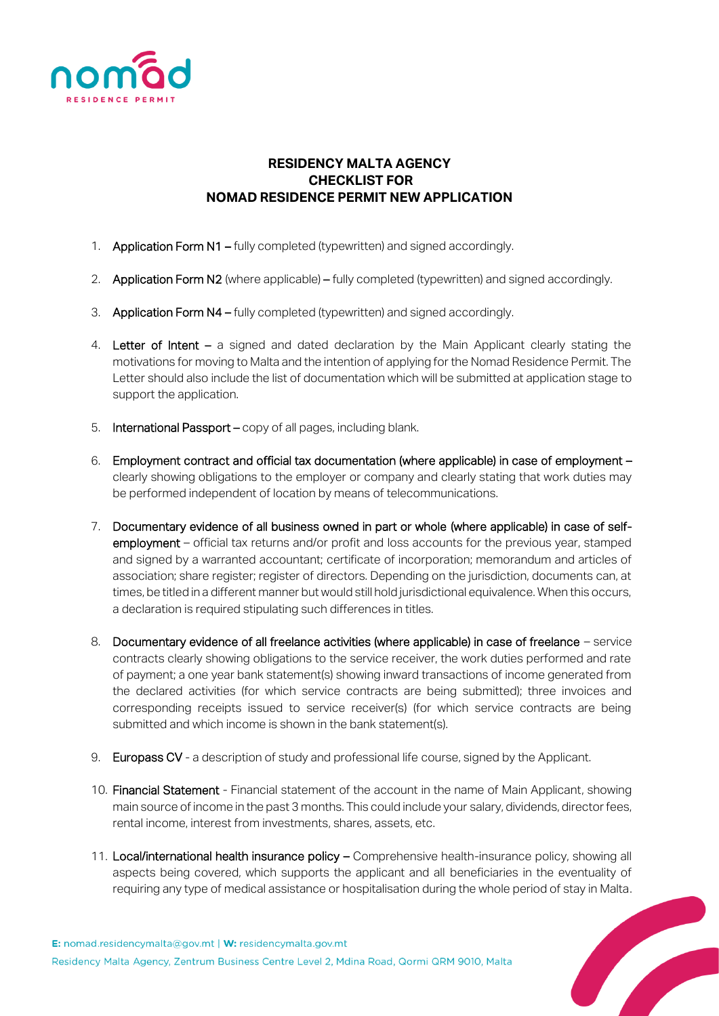

## **RESIDENCY MALTA AGENCY CHECKLIST FOR NOMAD RESIDENCE PERMIT NEW APPLICATION**

- 1. Application Form N1 fully completed (typewritten) and signed accordingly.
- 2. **Application Form N2** (where applicable) fully completed (typewritten) and signed accordingly.
- 3. Application Form N4 fully completed (typewritten) and signed accordingly.
- 4. Letter of Intent a signed and dated declaration by the Main Applicant clearly stating the motivations for moving to Malta and the intention of applying for the Nomad Residence Permit. The Letter should also include the list of documentation which will be submitted at application stage to support the application.
- 5. International Passport copy of all pages, including blank.
- 6. Employment contract and official tax documentation (where applicable) in case of employment clearly showing obligations to the employer or company and clearly stating that work duties may be performed independent of location by means of telecommunications.
- 7. Documentary evidence of all business owned in part or whole (where applicable) in case of selfemployment – official tax returns and/or profit and loss accounts for the previous year, stamped and signed by a warranted accountant; certificate of incorporation; memorandum and articles of association; share register; register of directors. Depending on the jurisdiction, documents can, at times, be titled in a different manner but would still hold jurisdictional equivalence. When this occurs, a declaration is required stipulating such differences in titles.
- 8. Documentary evidence of all freelance activities (where applicable) in case of freelance service contracts clearly showing obligations to the service receiver, the work duties performed and rate of payment; a one year bank statement(s) showing inward transactions of income generated from the declared activities (for which service contracts are being submitted); three invoices and corresponding receipts issued to service receiver(s) (for which service contracts are being submitted and which income is shown in the bank statement(s).
- 9. Europass CV a description of study and professional life course, signed by the Applicant.
- 10. Financial Statement Financial statement of the account in the name of Main Applicant, showing main source of income in the past 3 months. This could include your salary, dividends, director fees, rental income, interest from investments, shares, assets, etc.
- 11. Local/international health insurance policy Comprehensive health-insurance policy, showing all aspects being covered, which supports the applicant and all beneficiaries in the eventuality of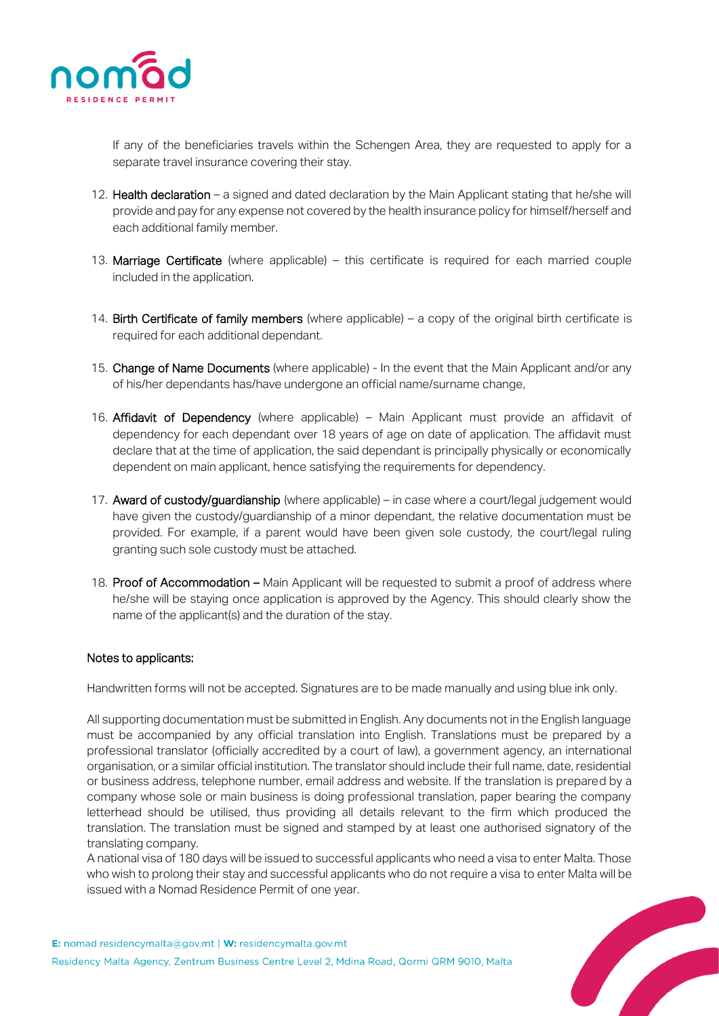

If any of the beneficiaries travels within the Schengen Area, they are requested to apply for a separate travel insurance covering their stay.

- 12. Health declaration a signed and dated declaration by the Main Applicant stating that he/she will provide and pay for any expense not covered by the health insurance policy for himself/herself and each additional family member.
- 13. Marriage Certificate (where applicable) this certificate is required for each married couple included in the application.
- 14. Birth Certificate of family members (where applicable) a copy of the original birth certificate is required for each additional dependant.
- 15. Change of Name Documents (where applicable) In the event that the Main Applicant and/or any of his/her dependants has/have undergone an official name/surname change,
- 16. Affidavit of Dependency (where applicable) Main Applicant must provide an affidavit of dependency for each dependant over 18 years of age on date of application. The affidavit must declare that at the time of application, the said dependant is principally physically or economically dependent on main applicant, hence satisfying the requirements for dependency.
- 17. Award of custody/guardianship (where applicable) in case where a court/legal judgement would have given the custody/guardianship of a minor dependant, the relative documentation must be provided. For example, if a parent would have been given sole custody, the court/legal ruling granting such sole custody must be attached.
- 18. Proof of Accommodation Main Applicant will be requested to submit a proof of address where he/she will be staying once application is approved by the Agency. This should clearly show the name of the applicant(s) and the duration of the stay.

## Notes to applicants:

Handwritten forms will not be accepted. Signatures are to be made manually and using blue ink only.

All supporting documentation must be submitted in English. Any documents not in the English language must be accompanied by any official translation into English. Translations must be prepared by a professional translator (officially accredited by a court of law), a government agency, an international organisation, or a similar official institution. The translator should include their full name, date, residential or business address, telephone number, email address and website. If the translation is prepared by a company whose sole or main business is doing professional translation, paper bearing the company letterhead should be utilised, thus providing all details relevant to the firm which produced the translation. The translation must be signed and stamped by at least one authorised signatory of the translating company.

A national visa of 180 days will be issued to successful applicants who need a visa to enter Malta. Those who wish to prolong their stay and successful applicants who do not require a visa to enter Malta will be issued with a Nomad Residence Permit of one year.